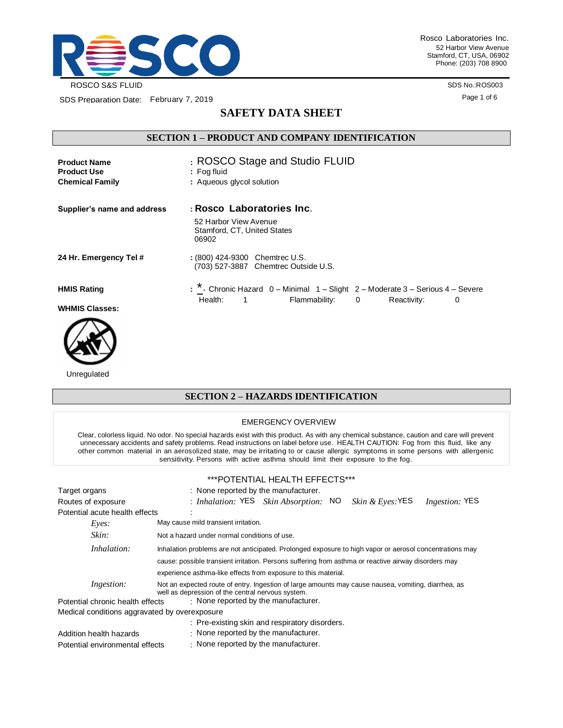

Rosco Laboratories Inc. 52 Harbor View Avenue Stamford, CT, USA, 06902 Phone: (203) 708 8900

SDS No.:ROS003 Page 1 of 6

SDS Preparation Date: February 7, 2019

# **SAFETY DATA SHEET**

### **SECTION 1 – PRODUCT AND COMPANY IDENTIFICATION**

| <b>Product Name</b><br><b>Product Use</b> | : ROSCO Stage and Studio FLUID<br>$:$ Fog fluid                                                                                                             |
|-------------------------------------------|-------------------------------------------------------------------------------------------------------------------------------------------------------------|
| <b>Chemical Family</b>                    | : Aqueous glycol solution                                                                                                                                   |
| Supplier's name and address               | : Rosco Laboratories Inc.                                                                                                                                   |
|                                           | 52 Harbor View Avenue<br>Stamford, CT, United States<br>06902                                                                                               |
| 24 Hr. Emergency Tel #                    | : (800) 424-9300 Chemtrec U.S.<br>(703) 527-3887 Chemtrec Outside U.S.                                                                                      |
| <b>HMIS Rating</b>                        | : * - Chronic Hazard 0 - Minimal 1 - Slight 2 - Moderate 3 - Serious 4 - Severe<br>Health:<br>$\sim$ 1<br>Flammability:<br>$\mathbf{0}$<br>Reactivity:<br>0 |
| <b>WHMIS Classes:</b>                     |                                                                                                                                                             |



Unregulated

### **SECTION 2 – HAZARDS IDENTIFICATION**

#### EMERGENCY OVERVIEW

Clear, colorless liquid. No odor. No special hazards exist with this product. As with any chemical substance, caution and care will prevent unnecessary accidents and safety problems. Read instructions on label before use. HEALTH CAUTION: Fog from this fluid, like any other common material in an aerosolized state, may be irritating to or cause allergic symptoms in some persons with allergenic sensitivity. Persons with active asthma should limit their exposure to the fog.

#### \*\*\*POTENTIAL HEALTH EFFECTS\*\*\*

| Target organs                                 | : None reported by the manufacturer.                                                                                                                     |  |  |  |
|-----------------------------------------------|----------------------------------------------------------------------------------------------------------------------------------------------------------|--|--|--|
| Routes of exposure                            | : Inhalation: YES Skin Absorption: NO<br><i>Skin &amp; Eyes</i> : YES<br><i>Ingestion:</i> YES                                                           |  |  |  |
| Potential acute health effects                |                                                                                                                                                          |  |  |  |
| Eyes:                                         | May cause mild transient irritation.                                                                                                                     |  |  |  |
| Skin:                                         | Not a hazard under normal conditions of use.                                                                                                             |  |  |  |
| Inhalation:                                   | Inhalation problems are not anticipated. Prolonged exposure to high vapor or aerosol concentrations may                                                  |  |  |  |
|                                               | cause: possible transient irritation. Persons suffering from asthma or reactive airway disorders may                                                     |  |  |  |
|                                               | experience asthma-like effects from exposure to this material.                                                                                           |  |  |  |
| Ingestion:                                    | Not an expected route of entry. Ingestion of large amounts may cause nausea, vomiting, diarrhea, as<br>well as depression of the central nervous system. |  |  |  |
| Potential chronic health effects              | $\cdot$ None reported by the manufacturer.                                                                                                               |  |  |  |
| Medical conditions aggravated by overexposure |                                                                                                                                                          |  |  |  |
|                                               | : Pre-existing skin and respiratory disorders.                                                                                                           |  |  |  |
| Addition health hazards                       | $\cdot$ None reported by the manufacturer.                                                                                                               |  |  |  |
| Potential environmental effects               | $\therefore$ None reported by the manufacturer.                                                                                                          |  |  |  |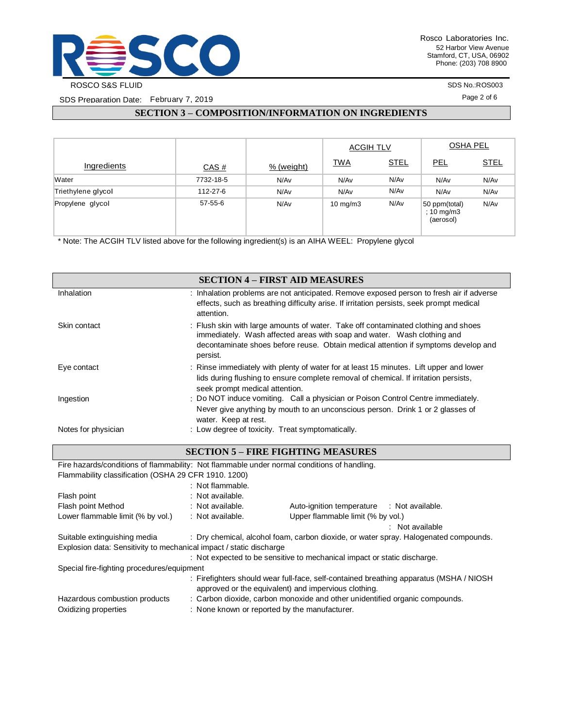

SDS Preparation Date: February 7, 2019

SDS No.:ROS003

Page 2 of 6

## **SECTION 3 – COMPOSITION/INFORMATION ON INGREDIENTS**

|                    |           |            | <b>ACGIH TLV</b>  |             | <b>OSHA PEL</b>                          |             |
|--------------------|-----------|------------|-------------------|-------------|------------------------------------------|-------------|
| Ingredients        | CAS#      | % (weight) | <b>TWA</b>        | <b>STEL</b> | PEL                                      | <b>STEL</b> |
| Water              | 7732-18-5 | N/Av       | N/Av              | N/Av        | N/Av                                     | N/Av        |
| Triethylene glycol | 112-27-6  | N/Av       | N/Av              | N/Av        | N/Av                                     | N/Av        |
| Propylene glycol   | 57-55-6   | N/Av       | $10 \text{ mg/m}$ | N/Av        | 50 ppm(total)<br>; 10 mg/m3<br>(aerosol) | N/Av        |

\* Note: The ACGIH TLV listed above for the following ingredient(s) is an AIHA WEEL: Propylene glycol

Oxidizing properties : None known or reported by the manufacturer.

|                                                                                             |                                                  | <b>SECTION 4 - FIRST AID MEASURES</b>                                                                                                                                                                                                               |
|---------------------------------------------------------------------------------------------|--------------------------------------------------|-----------------------------------------------------------------------------------------------------------------------------------------------------------------------------------------------------------------------------------------------------|
| Inhalation                                                                                  | attention.                                       | : Inhalation problems are not anticipated. Remove exposed person to fresh air if adverse<br>effects, such as breathing difficulty arise. If irritation persists, seek prompt medical                                                                |
| Skin contact                                                                                | persist.                                         | : Flush skin with large amounts of water. Take off contaminated clothing and shoes<br>immediately. Wash affected areas with soap and water. Wash clothing and<br>decontaminate shoes before reuse. Obtain medical attention if symptoms develop and |
| Eye contact                                                                                 | seek prompt medical attention.                   | : Rinse immediately with plenty of water for at least 15 minutes. Lift upper and lower<br>lids during flushing to ensure complete removal of chemical. If irritation persists,                                                                      |
| Ingestion                                                                                   | water. Keep at rest.                             | : Do NOT induce vomiting. Call a physician or Poison Control Centre immediately.<br>Never give anything by mouth to an unconscious person. Drink 1 or 2 glasses of                                                                                  |
| Notes for physician                                                                         | : Low degree of toxicity. Treat symptomatically. |                                                                                                                                                                                                                                                     |
|                                                                                             |                                                  | <b>SECTION 5 - FIRE FIGHTING MEASURES</b>                                                                                                                                                                                                           |
| Fire hazards/conditions of flammability: Not flammable under normal conditions of handling. |                                                  |                                                                                                                                                                                                                                                     |
| Flammability classification (OSHA 29 CFR 1910. 1200)                                        |                                                  |                                                                                                                                                                                                                                                     |
|                                                                                             | : Not flammable.                                 |                                                                                                                                                                                                                                                     |
| Flash point                                                                                 | : Not available.                                 |                                                                                                                                                                                                                                                     |
| Flash point Method                                                                          | : Not available.                                 | Auto-ignition temperature : Not available.                                                                                                                                                                                                          |
| Lower flammable limit (% by vol.)                                                           | : Not available.                                 | Upper flammable limit (% by vol.)                                                                                                                                                                                                                   |
|                                                                                             |                                                  | : Not available                                                                                                                                                                                                                                     |
| Suitable extinguishing media                                                                |                                                  | : Dry chemical, alcohol foam, carbon dioxide, or water spray. Halogenated compounds.                                                                                                                                                                |
| Explosion data: Sensitivity to mechanical impact / static discharge                         |                                                  |                                                                                                                                                                                                                                                     |
|                                                                                             |                                                  | : Not expected to be sensitive to mechanical impact or static discharge.                                                                                                                                                                            |
| Special fire-fighting procedures/equipment                                                  |                                                  |                                                                                                                                                                                                                                                     |
|                                                                                             |                                                  | : Firefighters should wear full-face, self-contained breathing apparatus (MSHA / NIOSH<br>approved or the equivalent) and impervious clothing.                                                                                                      |
| Hazardous combustion products                                                               |                                                  | : Carbon dioxide, carbon monoxide and other unidentified organic compounds.                                                                                                                                                                         |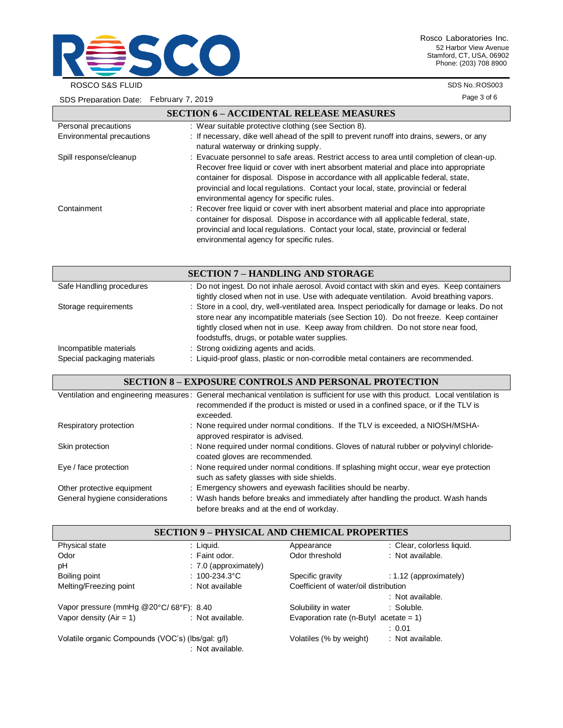

Rosco Laboratories Inc. 52 Harbor View Avenue Stamford, CT, USA, 06902 Phone: (203) 708 8900

ROSCO S&S FLUID

SDS Preparation Date: February 7, 2019

SDS No.:ROS003

Page 3 of 6

|                           | <b>SECTION 6 - ACCIDENTAL RELEASE MEASURES</b>                                                                                                                                                                                                                                                                                                                                                            |
|---------------------------|-----------------------------------------------------------------------------------------------------------------------------------------------------------------------------------------------------------------------------------------------------------------------------------------------------------------------------------------------------------------------------------------------------------|
| Personal precautions      | : Wear suitable protective clothing (see Section 8).                                                                                                                                                                                                                                                                                                                                                      |
| Environmental precautions | : If necessary, dike well ahead of the spill to prevent runoff into drains, sewers, or any<br>natural waterway or drinking supply.                                                                                                                                                                                                                                                                        |
| Spill response/cleanup    | : Evacuate personnel to safe areas. Restrict access to area until completion of clean-up.<br>Recover free liquid or cover with inert absorbent material and place into appropriate<br>container for disposal. Dispose in accordance with all applicable federal, state,<br>provincial and local regulations. Contact your local, state, provincial or federal<br>environmental agency for specific rules. |
| Containment               | : Recover free liquid or cover with inert absorbent material and place into appropriate<br>container for disposal. Dispose in accordance with all applicable federal, state,<br>provincial and local regulations. Contact your local, state, provincial or federal<br>environmental agency for specific rules.                                                                                            |

|                                                       | <b>SECTION 7 - HANDLING AND STORAGE</b>                                                                                                                                                                                                                                                                                      |
|-------------------------------------------------------|------------------------------------------------------------------------------------------------------------------------------------------------------------------------------------------------------------------------------------------------------------------------------------------------------------------------------|
| Safe Handling procedures                              | : Do not ingest. Do not inhale aerosol. Avoid contact with skin and eyes. Keep containers<br>tightly closed when not in use. Use with adequate ventilation. Avoid breathing vapors.                                                                                                                                          |
| Storage requirements                                  | : Store in a cool, dry, well-ventilated area. Inspect periodically for damage or leaks. Do not<br>store near any incompatible materials (see Section 10). Do not freeze. Keep container<br>tightly closed when not in use. Keep away from children. Do not store near food,<br>foodstuffs, drugs, or potable water supplies. |
| Incompatible materials<br>Special packaging materials | : Strong oxidizing agents and acids.<br>: Liquid-proof glass, plastic or non-corrodible metal containers are recommended.                                                                                                                                                                                                    |

### **SECTION 8 – EXPOSURE CONTROLS AND PERSONAL PROTECTION**

|                                | Ventilation and engineering measures: General mechanical ventilation is sufficient for use with this product. Local ventilation is<br>recommended if the product is misted or used in a confined space, or if the TLV is<br>exceeded. |
|--------------------------------|---------------------------------------------------------------------------------------------------------------------------------------------------------------------------------------------------------------------------------------|
| Respiratory protection         | : None required under normal conditions. If the TLV is exceeded, a NIOSH/MSHA-<br>approved respirator is advised.                                                                                                                     |
| Skin protection                | : None required under normal conditions. Gloves of natural rubber or polyvinyl chloride-<br>coated gloves are recommended.                                                                                                            |
| Eye / face protection          | : None required under normal conditions. If splashing might occur, wear eye protection<br>such as safety glasses with side shields.                                                                                                   |
| Other protective equipment     | : Emergency showers and eyewash facilities should be nearby.                                                                                                                                                                          |
| General hygiene considerations | : Wash hands before breaks and immediately after handling the product. Wash hands<br>before breaks and at the end of workday.                                                                                                         |

| <b>SECTION 9 - PHYSICAL AND CHEMICAL PROPERTIES</b> |                         |                                           |                            |
|-----------------------------------------------------|-------------------------|-------------------------------------------|----------------------------|
| Physical state                                      | : Liquid.               | Appearance                                | : Clear, colorless liquid. |
| Odor                                                | : Faint odor.           | Odor threshold                            | : Not available.           |
| pH                                                  | $: 7.0$ (approximately) |                                           |                            |
| Boiling point                                       | : $100 - 234.3$ °C      | Specific gravity                          | $: 1.12$ (approximately)   |
| Melting/Freezing point                              | : Not available         | Coefficient of water/oil distribution     |                            |
|                                                     |                         |                                           | : Not available.           |
| Vapor pressure (mmHg @20°C/68°F): 8.40              |                         | Solubility in water                       | : Soluble.                 |
| Vapor density $(Air = 1)$                           | : Not available.        | Evaporation rate (n-Butyl acetate = $1$ ) |                            |
|                                                     |                         |                                           | : 0.01                     |
| Volatile organic Compounds (VOC's) (lbs/gal. g/l)   | : Not available.        | Volatiles (% by weight)                   | : Not available.           |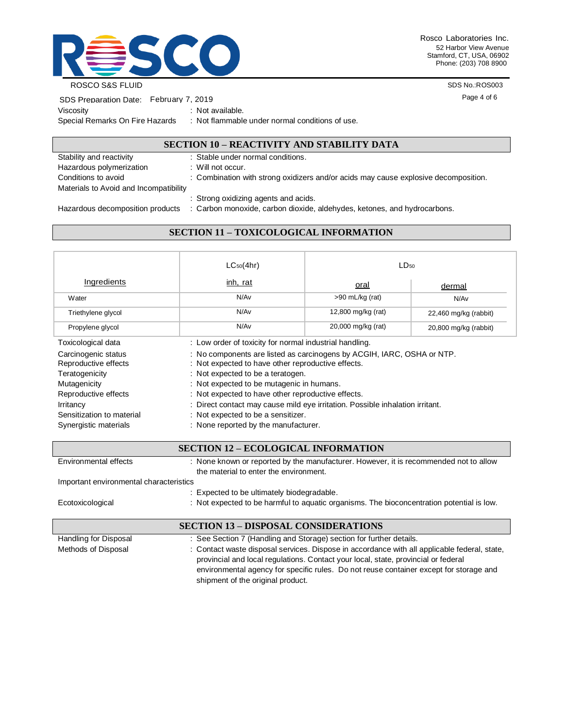

Rosco Laboratories Inc. 52 Harbor View Avenue Stamford, CT, USA, 06902 Phone: (203) 708 8900

ROSCO S&S FLUID

SDS No.:ROS003

Page 4 of 6

| SDS Preparation Date: February 7, 2019 |                         |
|----------------------------------------|-------------------------|
| Viscosity                              | : Not available.        |
| Special Remarks On Fire Hazards        | : Not flammable under r |

normal conditions of use.

### **SECTION 10 – REACTIVITY AND STABILITY DATA**

| Stability and reactivity               | : Stable under normal conditions.                                                   |
|----------------------------------------|-------------------------------------------------------------------------------------|
| Hazardous polymerization               | : Will not occur.                                                                   |
| Conditions to avoid                    | : Combination with strong oxidizers and/or acids may cause explosive decomposition. |
| Materials to Avoid and Incompatibility |                                                                                     |
|                                        | : Strong oxidizing agents and acids.                                                |
| Hazardous decomposition products       | : Carbon monoxide, carbon dioxide, aldehydes, ketones, and hydrocarbons.            |

# **SECTION 11 – TOXICOLOGICAL INFORMATION**

|                                                                                                                                                                          | $LC_{50}(4hr)$                                                                                                                                                                                                                                                                                                                                                                                                                      | LD <sub>50</sub>   |                         |
|--------------------------------------------------------------------------------------------------------------------------------------------------------------------------|-------------------------------------------------------------------------------------------------------------------------------------------------------------------------------------------------------------------------------------------------------------------------------------------------------------------------------------------------------------------------------------------------------------------------------------|--------------------|-------------------------|
| Ingredients                                                                                                                                                              | inh, rat                                                                                                                                                                                                                                                                                                                                                                                                                            | <u>oral</u>        | dermal                  |
| Water                                                                                                                                                                    | N/Av                                                                                                                                                                                                                                                                                                                                                                                                                                | $>90$ mL/kg (rat)  | N/Av                    |
| Triethylene glycol                                                                                                                                                       | N/Av                                                                                                                                                                                                                                                                                                                                                                                                                                | 12,800 mg/kg (rat) | $22,460$ mg/kg (rabbit) |
| Propylene glycol                                                                                                                                                         | N/Av                                                                                                                                                                                                                                                                                                                                                                                                                                | 20,000 mg/kg (rat) | 20,800 mg/kg (rabbit)   |
| Toxicological data                                                                                                                                                       | : Low order of toxicity for normal industrial handling.                                                                                                                                                                                                                                                                                                                                                                             |                    |                         |
| Carcinogenic status<br>Reproductive effects<br>Teratogenicity<br>Mutagenicity<br>Reproductive effects<br>Irritancy<br>Sensitization to material<br>Synergistic materials | : No components are listed as carcinogens by ACGIH, IARC, OSHA or NTP.<br>: Not expected to have other reproductive effects.<br>: Not expected to be a teratogen.<br>: Not expected to be mutagenic in humans.<br>: Not expected to have other reproductive effects.<br>: Direct contact may cause mild eye irritation. Possible inhalation irritant.<br>: Not expected to be a sensitizer.<br>: None reported by the manufacturer. |                    |                         |

| <b>SECTION 12 - ECOLOGICAL INFORMATION</b>  |                                                                                                                                                                                                                                                                              |  |
|---------------------------------------------|------------------------------------------------------------------------------------------------------------------------------------------------------------------------------------------------------------------------------------------------------------------------------|--|
| Environmental effects                       | : None known or reported by the manufacturer. However, it is recommended not to allow<br>the material to enter the environment.                                                                                                                                              |  |
| Important environmental characteristics     |                                                                                                                                                                                                                                                                              |  |
|                                             | : Expected to be ultimately biodegradable.                                                                                                                                                                                                                                   |  |
| Ecotoxicological                            | : Not expected to be harmful to aquatic organisms. The bioconcentration potential is low.                                                                                                                                                                                    |  |
| <b>SECTION 13 – DISPOSAL CONSIDERATIONS</b> |                                                                                                                                                                                                                                                                              |  |
| Handling for Disposal                       | : See Section 7 (Handling and Storage) section for further details.                                                                                                                                                                                                          |  |
| Methods of Disposal                         | : Contact waste disposal services. Dispose in accordance with all applicable federal, state,<br>provincial and local regulations. Contact your local, state, provincial or federal<br>environmental agency for specific rules. Do not reuse container except for storage and |  |

shipment of the original product.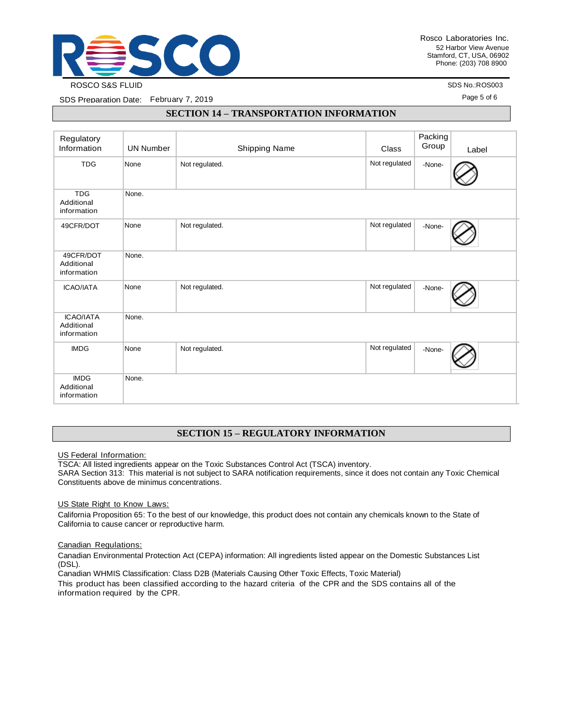

SDS No.:ROS003

Page 5 of 6

SDS Preparation Date: February 7, 2019

#### **SECTION 14 – TRANSPORTATION INFORMATION**

| Regulatory<br>Information                     | <b>UN Number</b> | Shipping Name  | Class         | Packing<br>Group | Label |
|-----------------------------------------------|------------------|----------------|---------------|------------------|-------|
| <b>TDG</b>                                    | None             | Not regulated. | Not regulated | -None-           |       |
| <b>TDG</b><br>Additional<br>information       | None.            |                |               |                  |       |
| 49CFR/DOT                                     | None             | Not regulated. | Not regulated | -None-           |       |
| 49CFR/DOT<br>Additional<br>information        | None.            |                |               |                  |       |
| <b>ICAO/IATA</b>                              | None             | Not regulated. | Not regulated | -None-           |       |
| <b>ICAO/IATA</b><br>Additional<br>information | None.            |                |               |                  |       |
| <b>IMDG</b>                                   | None             | Not regulated. | Not regulated | -None-           |       |
| <b>IMDG</b><br>Additional<br>information      | None.            |                |               |                  |       |

#### **SECTION 15 – REGULATORY INFORMATION**

US Federal Information:

TSCA: All listed ingredients appear on the Toxic Substances Control Act (TSCA) inventory.

SARA Section 313: This material is not subject to SARA notification requirements, since it does not contain any Toxic Chemical Constituents above de minimus concentrations.

US State Right to Know Laws:

California Proposition 65: To the best of our knowledge, this product does not contain any chemicals known to the State of California to cause cancer or reproductive harm.

#### Canadian Regulations:

Canadian Environmental Protection Act (CEPA) information: All ingredients listed appear on the Domestic Substances List (DSL).

Canadian WHMIS Classification: Class D2B (Materials Causing Other Toxic Effects, Toxic Material)

This product has been classified according to the hazard criteria of the CPR and the SDS contains all of the information required by the CPR.